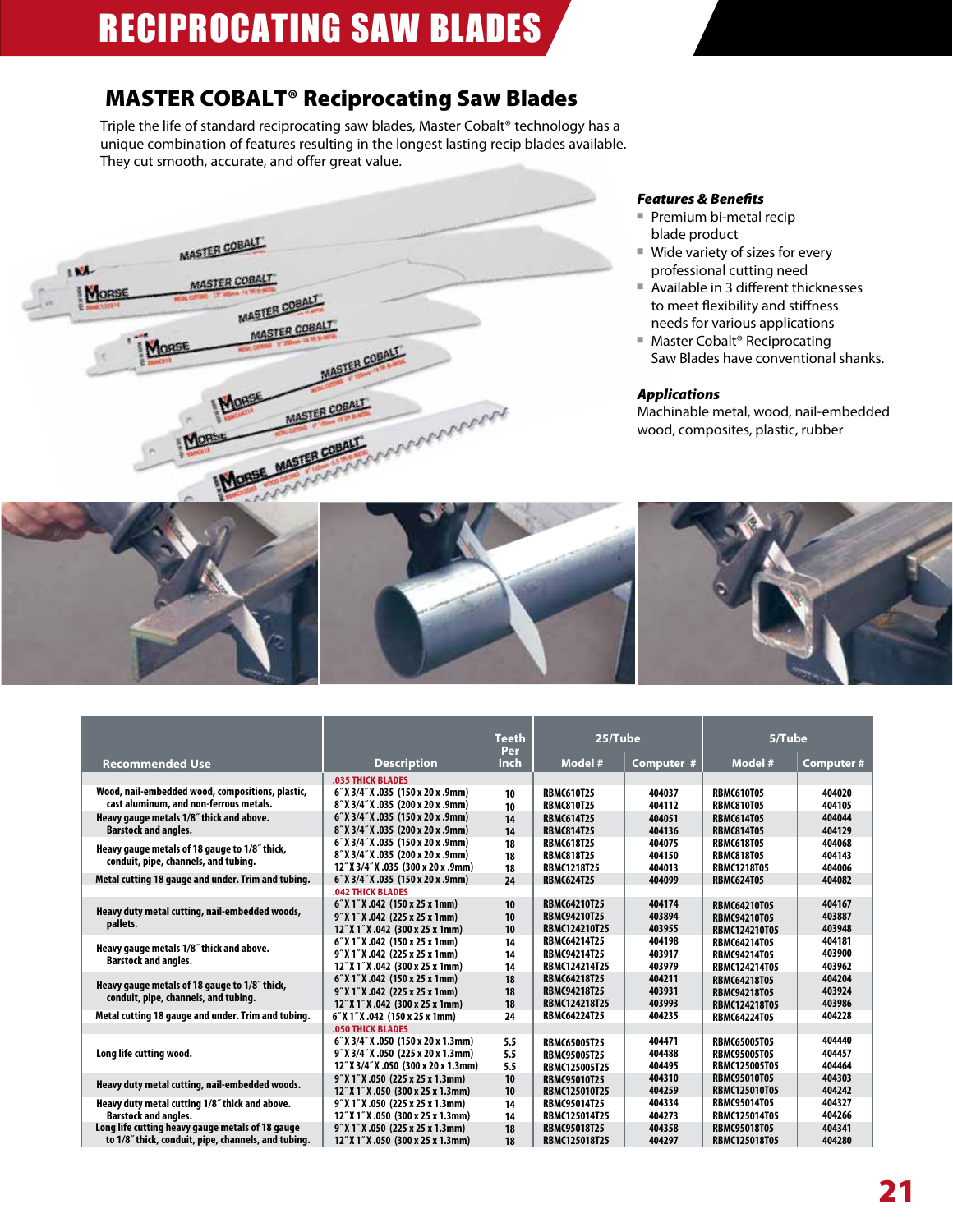## MASTER COBALT® Reciprocating Saw Blades

Triple the life of standard reciprocating saw blades, Master Cobalt® technology has a unique combination of features resulting in the longest lasting recip blades available. They cut smooth, accurate, and offer great value.



### *Features & Benefits*

- Premium bi-metal recip blade product
- Wide variety of sizes for every professional cutting need
- Available in 3 different thicknesses to meet flexibility and stiffness needs for various applications
- Master Cobalt® Reciprocating Saw Blades have conventional shanks.

#### *Applications*

Machinable metal, wood, nail-embedded wood, composites, plastic, rubber

|                                                     |                                      | <b>Teeth</b><br>Per | 25/Tube              |            | 5/Tube               |                  |
|-----------------------------------------------------|--------------------------------------|---------------------|----------------------|------------|----------------------|------------------|
| <b>Recommended Use</b>                              | <b>Description</b>                   | Inch                | Model #              | Computer # | Model #              | <b>Computer#</b> |
|                                                     | <b>.035 THICK BLADES</b>             |                     |                      |            |                      |                  |
| Wood, nail-embedded wood, compositions, plastic,    | 6" X 3/4" X .035 (150 x 20 x .9mm)   | 10                  | <b>RBMC610T25</b>    | 404037     | <b>RBMC610T05</b>    | 404020           |
| cast aluminum, and non-ferrous metals.              | 8" X 3/4" X .035 (200 x 20 x .9mm)   | 10                  | <b>RBMC810T25</b>    | 404112     | <b>RBMC810T05</b>    | 404105           |
| Heavy gauge metals 1/8" thick and above.            | 6" X 3/4" X .035 (150 x 20 x .9mm)   | 14                  | <b>RBMC614T25</b>    | 404051     | <b>RBMC614T05</b>    | 404044           |
| <b>Barstock and angles.</b>                         | 8" X 3/4" X .035 (200 x 20 x .9mm)   | 14                  | <b>RBMC814T25</b>    | 404136     | <b>RBMC814T05</b>    | 404129           |
| Heavy gauge metals of 18 gauge to 1/8" thick,       | 6" X 3/4" X .035 (150 x 20 x .9mm)   | 18                  | <b>RBMC618T25</b>    | 404075     | <b>RBMC618T05</b>    | 404068           |
| conduit, pipe, channels, and tubing.                | 8" X 3/4" X .035 (200 x 20 x .9mm)   | 18                  | <b>RBMC818T25</b>    | 404150     | <b>RBMC818T05</b>    | 404143           |
|                                                     | 12" X 3/4" X .035 (300 x 20 x .9mm)  | 18                  | <b>RBMC1218T25</b>   | 404013     | <b>RBMC1218T05</b>   | 404006           |
| Metal cutting 18 gauge and under. Trim and tubing.  | 6" X 3/4" X .035 (150 x 20 x .9mm)   | 24                  | <b>RBMC624T25</b>    | 404099     | <b>RBMC624T05</b>    | 404082           |
|                                                     | <b>.042 THICK BLADES</b>             |                     |                      |            |                      |                  |
| Heavy duty metal cutting, nail-embedded woods,      | 6" X 1" X .042 (150 x 25 x 1mm)      | 10                  | <b>RBMC64210T25</b>  | 404174     | <b>RBMC64210T05</b>  | 404167           |
|                                                     | 9" X 1" X .042 (225 x 25 x 1mm)      | 10                  | <b>RBMC94210T25</b>  | 403894     | <b>RBMC94210T05</b>  | 403887           |
| pallets.                                            | 12" X 1" X .042 (300 x 25 x 1mm)     | 10                  | <b>RBMC124210T25</b> | 403955     | <b>RBMC124210T05</b> | 403948           |
| Heavy gauge metals 1/8" thick and above.            | 6" X 1" X .042 (150 x 25 x 1mm)      | 14                  | <b>RBMC64214T25</b>  | 404198     | <b>RBMC64214T05</b>  | 404181           |
| <b>Barstock and angles.</b>                         | 9" X 1" X .042 (225 x 25 x 1mm)      | 14                  | <b>RBMC94214T25</b>  | 403917     | <b>RBMC94214T05</b>  | 403900           |
|                                                     | 12" X 1" X .042 (300 x 25 x 1mm)     | 14                  | <b>RBMC124214T25</b> | 403979     | <b>RBMC124214T05</b> | 403962           |
|                                                     | 6" X 1" X .042 (150 x 25 x 1mm)      | 18                  | <b>RBMC64218T25</b>  | 404211     | <b>RBMC64218T05</b>  | 404204           |
| Heavy gauge metals of 18 gauge to 1/8" thick,       | 9" X 1" X .042 (225 x 25 x 1mm)      | 18                  | <b>RBMC94218T25</b>  | 403931     | <b>RBMC94218T05</b>  | 403924           |
| conduit, pipe, channels, and tubing.                | 12" X 1" X .042 (300 x 25 x 1mm)     | 18                  | RBMC124218T25        | 403993     | <b>RBMC124218T05</b> | 403986           |
| Metal cutting 18 gauge and under. Trim and tubing.  | 6" X 1" X .042 (150 x 25 x 1mm)      | 24                  | <b>RBMC64224T25</b>  | 404235     | <b>RBMC64224T05</b>  | 404228           |
|                                                     | <b>.050 THICK BLADES</b>             |                     |                      |            |                      |                  |
|                                                     | 6" X 3/4" X .050 (150 x 20 x 1.3mm)  | 5.5                 | <b>RBMC65005T25</b>  | 404471     | <b>RBMC65005T05</b>  | 404440           |
| Long life cutting wood.                             | 9" X 3/4" X .050 (225 x 20 x 1.3mm)  | 5.5                 | <b>RBMC95005T25</b>  | 404488     | <b>RBMC95005T05</b>  | 404457           |
|                                                     | 12" X 3/4" X .050 (300 x 20 x 1.3mm) | 5.5                 | <b>RBMC125005T25</b> | 404495     | <b>RBMC125005T05</b> | 404464           |
|                                                     | 9" X 1" X .050 (225 x 25 x 1.3mm)    | 10                  | <b>RBMC95010T25</b>  | 404310     | <b>RBMC95010T05</b>  | 404303           |
| Heavy duty metal cutting, nail-embedded woods.      | 12" X 1" X .050 (300 x 25 x 1.3mm)   | 10                  | <b>RBMC125010T25</b> | 404259     | <b>RBMC125010T05</b> | 404242           |
| Heavy duty metal cutting 1/8" thick and above.      | 9" X 1" X .050 (225 x 25 x 1.3mm)    | 14                  | <b>RBMC95014T25</b>  | 404334     | <b>RBMC95014T05</b>  | 404327           |
| <b>Barstock and angles.</b>                         | 12" X 1" X .050 (300 x 25 x 1.3mm)   | 14                  | RBMC125014T25        | 404273     | <b>RBMC125014T05</b> | 404266           |
| Long life cutting heavy gauge metals of 18 gauge    | 9" X 1" X .050 (225 x 25 x 1.3mm)    | 18                  | <b>RBMC95018T25</b>  | 404358     | <b>RBMC95018T05</b>  | 404341           |
| to 1/8" thick, conduit, pipe, channels, and tubing. | 12" X 1" X .050 (300 x 25 x 1.3mm)   | 18                  | <b>RBMC125018T25</b> | 404297     | <b>RBMC125018T05</b> | 404280           |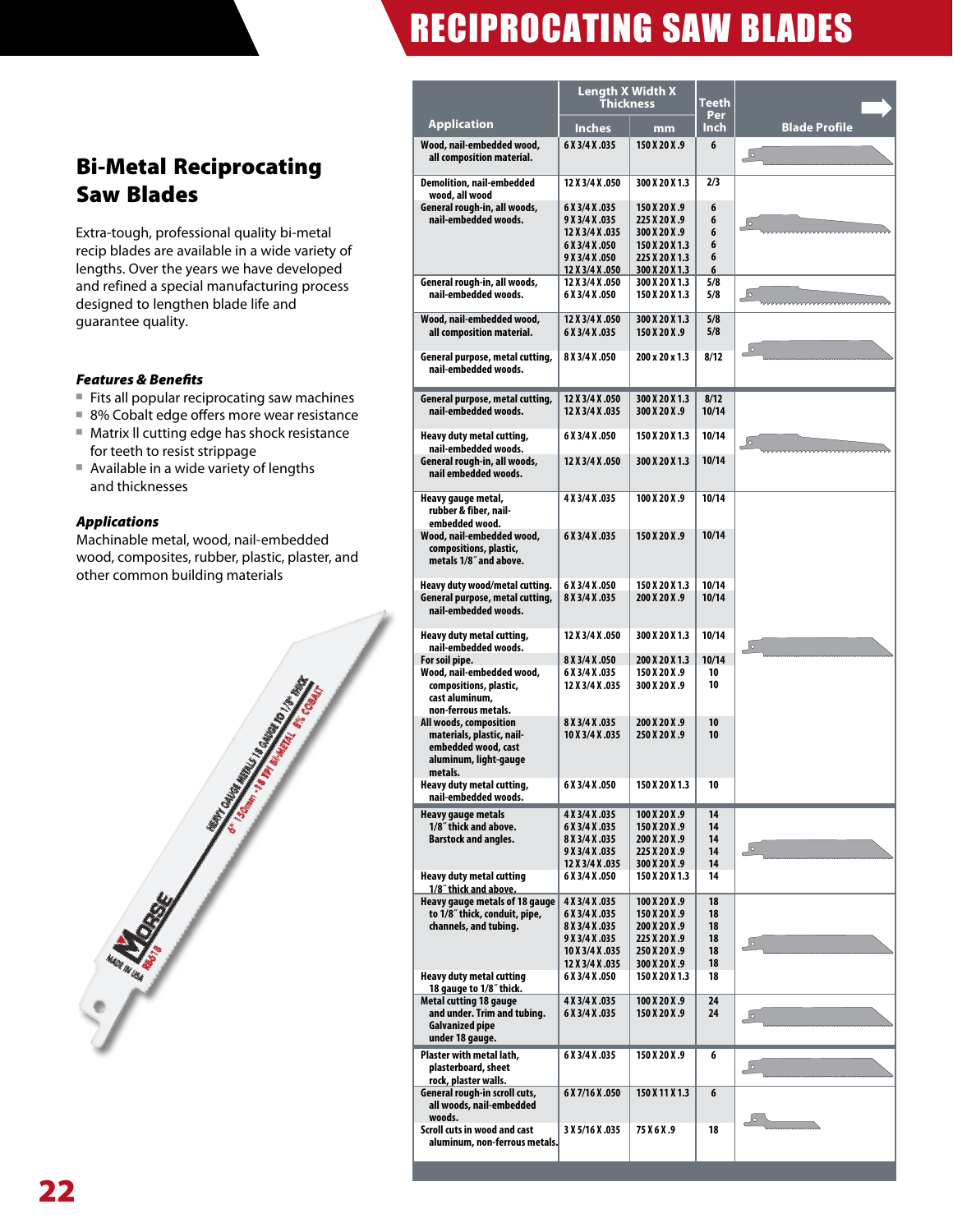## Bi-Metal Reciprocating Saw Blades

Extra-tough, professional quality bi-metal recip blades are available in a wide variety of lengths. Over the years we have developed and refined a special manufacturing process designed to lengthen blade life and guarantee quality.

### *Features & Benefits*

- Fits all popular reciprocating saw machines
- 8% Cobalt edge offers more wear resistance
- Matrix II cutting edge has shock resistance for teeth to resist strippage
- Available in a wide variety of lengths and thicknesses

#### *Applications*

Machinable metal, wood, nail-embedded wood, composites, rubber, plastic, plaster, and other common building materials



|                                                                                                                | Length X Width X<br>Thickness                                                                              |                                                                                                       | Teeth                            |                      |
|----------------------------------------------------------------------------------------------------------------|------------------------------------------------------------------------------------------------------------|-------------------------------------------------------------------------------------------------------|----------------------------------|----------------------|
| <b>Application</b>                                                                                             | <b>Inches</b>                                                                                              | mm                                                                                                    | Per<br>Inch                      | <b>Blade Profile</b> |
| Wood, nail-embedded wood,<br>all composition material.                                                         | 6 X 3/4 X .035                                                                                             | 150 X 20 X .9                                                                                         | 6                                | $\sqrt{\circ}$       |
| <b>Demolition, nail-embedded</b><br>wood, all wood                                                             | 12 X 3/4 X .050                                                                                            | 300 X 20 X 1.3                                                                                        | 2/3                              |                      |
| General rough-in, all woods,<br>nail-embedded woods.                                                           | 6 X 3/4 X .035<br>9 X 3/4 X .035<br>12 X 3/4 X .035<br>6 X 3/4 X .050<br>9 X 3/4 X .050<br>12 X 3/4 X .050 | 150 X 20 X .9<br>225 X 20 X .9<br>300 X 20 X .9<br>150 X 20 X 1.3<br>225 X 20 X 1.3<br>300 X 20 X 1.3 | 6<br>6<br>6<br>6<br>6<br>6       | $\sqrt{\circ}$       |
| General rough-in, all woods,<br>nail-embedded woods.                                                           | 12 X 3/4 X .050<br>6 X 3/4 X .050                                                                          | 300 X 20 X 1.3<br>150 X 20 X 1.3                                                                      | 5/8<br>5/8                       | $\sqrt{2}$           |
| Wood, nail-embedded wood,<br>all composition material.                                                         | 12 X 3/4 X .050<br>6 X 3/4 X .035                                                                          | 300 X 20 X 1.3<br>150 X 20 X .9                                                                       | 5/8<br>5/8                       |                      |
| General purpose, metal cutting,<br>nail-embedded woods.                                                        | 8 X 3/4 X .050                                                                                             | 200 x 20 x 1.3                                                                                        | 8/12                             | ەكے                  |
| General purpose, metal cutting,<br>nail-embedded woods.                                                        | 12 X 3/4 X .050<br>12 X 3/4 X .035                                                                         | 300 X 20 X 1.3<br>300 X 20 X .9                                                                       | 8/12<br>10/14                    |                      |
| Heavy duty metal cutting,                                                                                      | 6 X 3/4 X .050                                                                                             | 150 X 20 X 1.3                                                                                        | 10/14                            | $\sqrt{\circ}$       |
| nail-embedded woods.<br>General rough-in, all woods,<br>nail embedded woods.                                   | 12 X 3/4 X .050                                                                                            | 300 X 20 X 1.3                                                                                        | 10/14                            |                      |
| Heavy gauge metal,<br>rubber & fiber, nail-<br>embedded wood.                                                  | 4 X 3/4 X .035                                                                                             | 100 X 20 X .9                                                                                         | 10/14                            |                      |
| Wood, nail-embedded wood,<br>compositions, plastic,<br>metals 1/8" and above.                                  | 6 X 3/4 X .035                                                                                             | 150 X 20 X .9                                                                                         | 10/14                            |                      |
| Heavy duty wood/metal cutting.<br>General purpose, metal cutting,<br>nail-embedded woods.                      | 6 X 3/4 X .050<br>8 X 3/4 X .035                                                                           | 150 X 20 X 1.3<br>200 X 20 X .9                                                                       | 10/14<br>10/14                   |                      |
| Heavy duty metal cutting,<br>nail-embedded woods.                                                              | 12 X 3/4 X .050                                                                                            | 300 X 20 X 1.3                                                                                        | 10/14                            | $\sqrt{\circ}$       |
| For soil pipe.<br>Wood, nail-embedded wood,<br>compositions, plastic,<br>cast aluminum.<br>non-ferrous metals. | 8 X 3/4 X .050<br>6 X 3/4 X .035<br>12 X 3/4 X .035                                                        | 200 X 20 X 1.3<br>150 X 20 X .9<br>300 X 20 X .9                                                      | 10/14<br>10<br>10                |                      |
| All woods, composition<br>materials, plastic, nail-<br>embedded wood, cast<br>aluminum, light-gauge<br>metals. | 8 X 3/4 X .035<br>10 X 3/4 X .035                                                                          | 200 X 20 X .9<br>250 X 20 X .9                                                                        | 10<br>10                         |                      |
| Heavy duty metal cutting,<br>nail-embedded woods.                                                              | 6 X 3/4 X .050                                                                                             | 150 X 20 X 1.3                                                                                        | 10                               |                      |
| <b>Heavy gauge metals</b><br>1/8" thick and above.<br><b>Barstock and angles.</b>                              | 4 X 3/4 X .035<br>6 X 3/4 X .035<br>8 X 3/4 X .035<br>9 X 3/4 X .035<br>12 X 3/4 X .035                    | 100 X 20 X .9<br>150 X 20 X .9<br>200 X 20 X .9<br>225 X 20 X .9<br>300 X 20 X .9                     | 14<br>14<br>14<br>14<br>14       | $\sqrt{\circ}$       |
| Heavy duty metal cutting<br>1/8" thick and above.                                                              | 6 X 3/4 X .050                                                                                             | 150 X 20 X 1.3                                                                                        | 14                               |                      |
| Heavy gauge metals of 18 gauge<br>to 1/8" thick, conduit, pipe,<br>channels, and tubing.                       | 4 X 3/4 X .035<br>6 X 3/4 X .035<br>8 X 3/4 X .035<br>9 X 3/4 X .035<br>10 X 3/4 X .035<br>12 X 3/4 X .035 | 100 X 20 X .9<br>150 X 20 X .9<br>200 X 20 X .9<br>225 X 20 X.9<br>250 X 20 X .9<br>300 X 20 X .9     | 18<br>18<br>18<br>18<br>18<br>18 | $\sqrt{\circ}$       |
| <b>Heavy duty metal cutting</b><br>18 gauge to 1/8" thick.                                                     | 6 X 3/4 X .050                                                                                             | 150 X 20 X 1.3                                                                                        | 18                               |                      |
| Metal cutting 18 gauge<br>and under. Trim and tubing.<br>Galvanized pipe<br>under 18 gauge.                    | 4 X 3/4 X .035<br>6 X 3/4 X .035                                                                           | 100 X 20 X .9<br>150 X 20 X .9                                                                        | 24<br>24                         | ەك                   |
| Plaster with metal lath,<br>plasterboard, sheet<br>rock, plaster walls.                                        | 6 X 3/4 X .035                                                                                             | 150 X 20 X .9                                                                                         | 6                                | ِہ∫                  |
| General rough-in scroll cuts,<br>all woods, nail-embedded<br>woods.                                            | 6 X 7/16 X .050                                                                                            | 150 X 11 X 1.3                                                                                        | 6                                | Jo                   |
| Scroll cuts in wood and cast<br>aluminum, non-ferrous metals.                                                  | 3 X 5/16 X .035                                                                                            | 75 X 6 X .9                                                                                           | 18                               |                      |
|                                                                                                                |                                                                                                            |                                                                                                       |                                  |                      |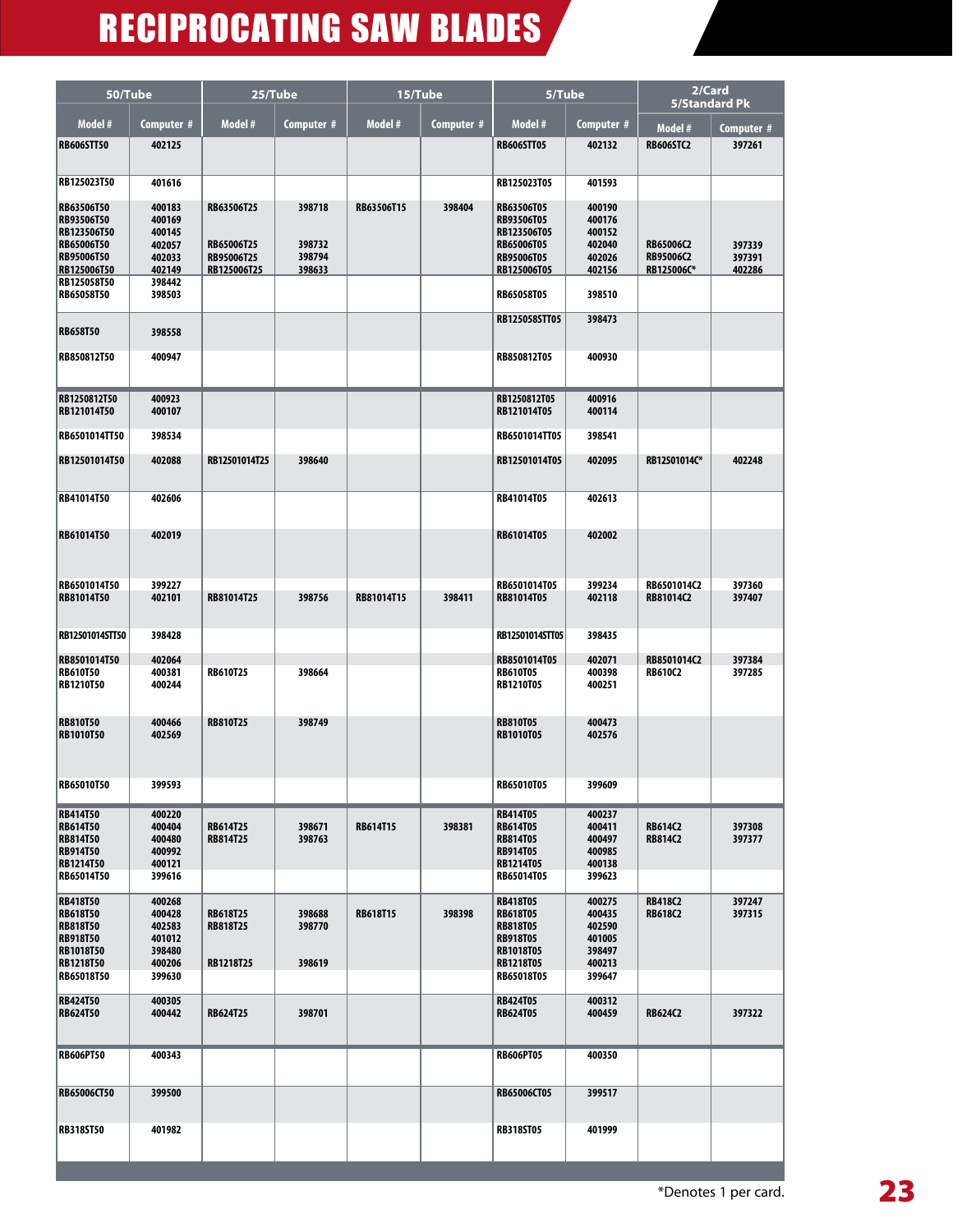| 50/Tube                                                                                             |                                                                    | 25/Tube                                               |                                      | 15/Tube         |            | 5/Tube                                                                                                     |                                                          | 2/Card<br><b>5/Standard Pk</b>       |                            |
|-----------------------------------------------------------------------------------------------------|--------------------------------------------------------------------|-------------------------------------------------------|--------------------------------------|-----------------|------------|------------------------------------------------------------------------------------------------------------|----------------------------------------------------------|--------------------------------------|----------------------------|
| Model #                                                                                             | Computer #                                                         | Model #                                               | Computer #                           | Model #         | Computer # | Model #                                                                                                    | Computer #                                               | Model #                              | Computer #                 |
| <b>RB606STT50</b>                                                                                   | 402125                                                             |                                                       |                                      |                 |            | <b>RB606STT05</b>                                                                                          | 402132                                                   | <b>RB606STC2</b>                     | 397261                     |
| RB125023T50                                                                                         | 401616                                                             |                                                       |                                      |                 |            | RB125023T05                                                                                                | 401593                                                   |                                      |                            |
| RB63506T50<br>RB93506T50<br>RB123506T50<br>RB65006T50<br>RB95006T50<br>RB125006T50<br>RB125058T50   | 400183<br>400169<br>400145<br>402057<br>402033<br>402149<br>398442 | RB63506T25<br>RB65006T25<br>RB95006T25<br>RB125006T25 | 398718<br>398732<br>398794<br>398633 | RB63506T15      | 398404     | RB63506T05<br>RB93506T05<br>RB123506T05<br>RB65006T05<br>RB95006T05<br>RB125006T05                         | 400190<br>400176<br>400152<br>402040<br>402026<br>402156 | RB65006C2<br>RB95006C2<br>RB125006C* | 397339<br>397391<br>402286 |
| RB65058T50                                                                                          | 398503                                                             |                                                       |                                      |                 |            | RB65058T05                                                                                                 | 398510                                                   |                                      |                            |
| <b>RB658T50</b>                                                                                     | 398558                                                             |                                                       |                                      |                 |            | RB125058STT05                                                                                              | 398473                                                   |                                      |                            |
| RB850812T50                                                                                         | 400947                                                             |                                                       |                                      |                 |            | RB850812T05                                                                                                | 400930                                                   |                                      |                            |
| RB1250812T50<br>RB121014T50                                                                         | 400923<br>400107                                                   |                                                       |                                      |                 |            | RB1250812T05<br>RB121014T05                                                                                | 400916<br>400114                                         |                                      |                            |
| RB6501014TT50                                                                                       | 398534                                                             |                                                       |                                      |                 |            | RB6501014TT05                                                                                              | 398541                                                   |                                      |                            |
| RB12501014T50                                                                                       | 402088                                                             | RB12501014T25                                         | 398640                               |                 |            | RB12501014T05                                                                                              | 402095                                                   | RB12501014C*                         | 402248                     |
| RB41014T50                                                                                          | 402606                                                             |                                                       |                                      |                 |            | RB41014T05                                                                                                 | 402613                                                   |                                      |                            |
| RB61014T50                                                                                          | 402019                                                             |                                                       |                                      |                 |            | RB61014T05                                                                                                 | 402002                                                   |                                      |                            |
| RB6501014T50<br>RB81014T50                                                                          | 399227<br>402101                                                   | RB81014T25                                            | 398756                               | RB81014T15      | 398411     | RB6501014T05<br>RB81014T05                                                                                 | 399234<br>402118                                         | RB6501014C2<br>RB81014C2             | 397360<br>397407           |
| RB12501014STT50                                                                                     | 398428                                                             |                                                       |                                      |                 |            | RB12501014STT05                                                                                            | 398435                                                   |                                      |                            |
| RB8501014T50<br><b>RB610T50</b><br>RB1210T50                                                        | 402064<br>400381<br>400244                                         | <b>RB610T25</b>                                       | 398664                               |                 |            | RB8501014T05<br><b>RB610T05</b><br>RB1210T05                                                               | 402071<br>400398<br>400251                               | RB8501014C2<br><b>RB610C2</b>        | 397384<br>397285           |
| <b>RB810T50</b><br><b>RB1010T50</b>                                                                 | 400466<br>402569                                                   | <b>RB810T25</b>                                       | 398749                               |                 |            | <b>RB810T05</b><br><b>RB1010T05</b>                                                                        | 400473<br>402576                                         |                                      |                            |
| <b>RB65010T50</b>                                                                                   | 399593                                                             |                                                       |                                      |                 |            | <b>RB65010T05</b>                                                                                          | 399609                                                   |                                      |                            |
| <b>RB414T50</b><br><b>RB614T50</b><br><b>RB814T50</b><br><b>RB914T50</b><br>RB1214T50<br>RB65014T50 | 400220<br>400404<br>400480<br>400992<br>400121<br>399616           | <b>RB614T25</b><br><b>RB814T25</b>                    | 398671<br>398763                     | <b>RB614T15</b> | 398381     | <b>RB414T05</b><br><b>RB614T05</b><br><b>RB814T05</b><br><b>RB914T05</b><br><b>RB1214T05</b><br>RB65014T05 | 400237<br>400411<br>400497<br>400985<br>400138<br>399623 | <b>RB614C2</b><br><b>RB814C2</b>     | 397308<br>397377           |
| <b>RB418T50</b><br><b>RB618T50</b><br><b>RB818T50</b><br><b>RB918T50</b><br><b>RB1018T50</b>        | 400268<br>400428<br>402583<br>401012<br>398480                     | <b>RB618T25</b><br><b>RB818T25</b>                    | 398688<br>398770                     | <b>RB618T15</b> | 398398     | <b>RB418T05</b><br><b>RB618T05</b><br><b>RB818T05</b><br><b>RB918T05</b><br><b>RB1018T05</b>               | 400275<br>400435<br>402590<br>401005<br>398497           | <b>RB418C2</b><br><b>RB618C2</b>     | 397247<br>397315           |
| <b>RB1218T50</b><br>RB65018T50                                                                      | 400206<br>399630                                                   | RB1218T25                                             | 398619                               |                 |            | RB1218T05<br>RB65018T05                                                                                    | 400213<br>399647                                         |                                      |                            |
| <b>RB424T50</b><br><b>RB624T50</b>                                                                  | 400305<br>400442                                                   | <b>RB624T25</b>                                       | 398701                               |                 |            | <b>RB424T05</b><br><b>RB624T05</b>                                                                         | 400312<br>400459                                         | <b>RB624C2</b>                       | 397322                     |
| <b>RB606PT50</b>                                                                                    | 400343                                                             |                                                       |                                      |                 |            | <b>RB606PT05</b>                                                                                           | 400350                                                   |                                      |                            |
| RB65006CT50                                                                                         | 399500                                                             |                                                       |                                      |                 |            | RB65006CT05                                                                                                | 399517                                                   |                                      |                            |
| <b>RB318ST50</b>                                                                                    | 401982                                                             |                                                       |                                      |                 |            | <b>RB318ST05</b>                                                                                           | 401999                                                   |                                      |                            |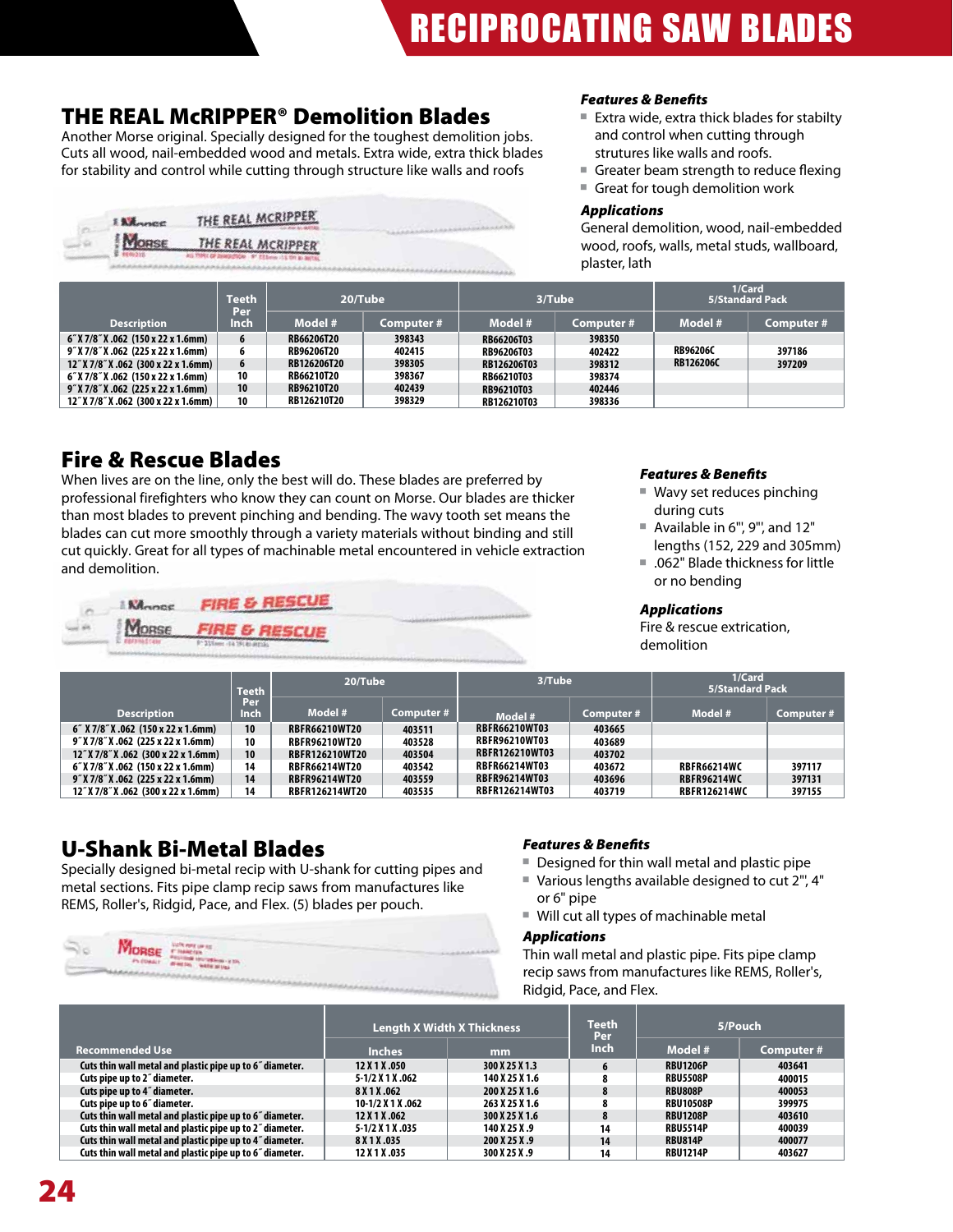## THE REAL McRIPPER® Demolition Blades

Another Morse original. Specially designed for the toughest demolition jobs. Cuts all wood, nail-embedded wood and metals. Extra wide, extra thick blades for stability and control while cutting through structure like walls and roofs

| <b>Lillance</b> | THE REAL MCRIPPER                                |  |
|-----------------|--------------------------------------------------|--|
| <b>MORSE</b>    | THE REAL MCRIPPER                                |  |
| 19806510        | ALL PORT OF DEMOCRATION OF STEAM 153 TRI BLANTAL |  |

#### *Features & Benefits*

- Extra wide, extra thick blades for stabilty and control when cutting through strutures like walls and roofs.
- Greater beam strength to reduce flexing
- Great for tough demolition work

#### *Applications*

General demolition, wood, nail-embedded wood, roofs, walls, metal studs, wallboard, plaster, lath

|                                         | Teeth        |                    | 20/Tube    |                   | 3/Tube    | <b>5/Standard Pack</b> | 1/Card    |
|-----------------------------------------|--------------|--------------------|------------|-------------------|-----------|------------------------|-----------|
| <b>Description</b>                      | Per.<br>Inch | Model #            | Computer # | Model #           | Computer# | Model #                | Computer# |
| 6" X 7/8" X .062 (150 x 22 x 1.6mm)     | 6            | RB66206T20         | 398343     | RB66206T03        | 398350    |                        |           |
| 9" X 7/8" X .062 (225 x 22 x 1.6mm)     |              | <b>RB96206T20</b>  | 402415     | <b>RB96206T03</b> | 402422    | <b>RB96206C</b>        | 397186    |
| $12''$ X 7/8" X .062 (300 x 22 x 1.6mm) | 6            | RB126206T20        | 398305     | RB126206T03       | 398312    | <b>RB126206C</b>       | 397209    |
| 6" X 7/8" X .062 (150 x 22 x 1.6mm)     | 10           | RB66210T20         | 398367     | RB66210T03        | 398374    |                        |           |
| 9" X 7/8" X .062 (225 x 22 x 1.6mm)     | 10           | <b>RB96210T20</b>  | 402439     | RB96210T03        | 402446    |                        |           |
| 12" X 7/8" X .062 (300 x 22 x 1.6mm)    | 10           | <b>RB126210T20</b> | 398329     | RB126210T03       | 398336    |                        |           |

## Fire & Rescue Blades

When lives are on the line, only the best will do. These blades are preferred by professional firefighters who know they can count on Morse. Our blades are thicker than most blades to prevent pinching and bending. The wavy tooth set means the blades can cut more smoothly through a variety materials without binding and still cut quickly. Great for all types of machinable metal encountered in vehicle extraction and demolition.

|                   | <b>Nonce FIRE &amp; RESCUE</b> |  |
|-------------------|--------------------------------|--|
|                   | MORSE FIRE & RESCUE            |  |
| <b>EDISSATION</b> | 9" 211mm - 14 TPI 81-MTTAL     |  |

### *Features & Benefits*

- $\blacksquare$  Wavy set reduces pinching during cuts
- $\blacksquare$  Available in 6", 9", and 12" lengths (152, 229 and 305mm)
- .062" Blade thickness for little or no bending

### *Applications*

Fire & rescue extrication, demolition

|                                         | <b>Teeth</b> | 20/Tube               |           | 3/Tube                |            | 1/Card<br>5/Standard Pack |           |
|-----------------------------------------|--------------|-----------------------|-----------|-----------------------|------------|---------------------------|-----------|
| <b>Description</b>                      | Per<br>Inch  | Model #               | Computer# | Model #               | Computer # | Model #                   | Computer# |
| 6" X 7/8" X .062 (150 x 22 x 1.6mm)     | 10           | <b>RBFR66210WT20</b>  | 403511    | <b>RBFR66210WT03</b>  | 403665     |                           |           |
| 9" X 7/8" X .062 (225 x 22 x 1.6mm)     | 10           | <b>RBFR96210WT20</b>  | 403528    | <b>RBFR96210WT03</b>  | 403689     |                           |           |
| $12''$ X 7/8" X .062 (300 x 22 x 1.6mm) | 10           | <b>RBFR126210WT20</b> | 403504    | <b>RBFR126210WT03</b> | 403702     |                           |           |
| 6" X 7/8" X .062 (150 x 22 x 1.6mm)     | 14           | <b>RBFR66214WT20</b>  | 403542    | <b>RBFR66214WT03</b>  | 403672     | <b>RBFR66214WC</b>        | 397117    |
| 9" X 7/8" X .062 (225 x 22 x 1.6mm)     | 14           | <b>RBFR96214WT20</b>  | 403559    | <b>RBFR96214WT03</b>  | 403696     | <b>RBFR96214WC</b>        | 397131    |
| 12" X 7/8" X .062 (300 x 22 x 1.6mm)    | 14           | <b>RBFR126214WT20</b> | 403535    | <b>RBFR126214WT03</b> | 403719     | <b>RBFR126214WC</b>       | 397155    |

## U-Shank Bi-Metal Blades

Specially designed bi-metal recip with U-shank for cutting pipes and metal sections. Fits pipe clamp recip saws from manufactures like REMS, Roller's, Ridgid, Pace, and Flex. (5) blades per pouch.

| <b>CONTRACTOR</b><br>17 S.J |  | CUTS FOR UP BE<br><b>MORSE</b> PROGRESSIVE CONTINUES.<br>PLEDANT - WHITNE - WATER MUSE | 1. 不可以改善的人的 医皮肤病 |
|-----------------------------|--|----------------------------------------------------------------------------------------|------------------|
|-----------------------------|--|----------------------------------------------------------------------------------------|------------------|

### *Features & Benefits*

- $\blacksquare$  Designed for thin wall metal and plastic pipe
- Various lengths available designed to cut 2", 4" or 6" pipe
- Will cut all types of machinable metal

### *Applications*

Thin wall metal and plastic pipe. Fits pipe clamp recip saws from manufactures like REMS, Roller's, Ridgid, Pace, and Flex.

|                                                          |                   | <b>Length X Width X Thickness</b> | <b>Teeth</b><br><b>Per</b> |                  | 5/Pouch   |
|----------------------------------------------------------|-------------------|-----------------------------------|----------------------------|------------------|-----------|
| <b>Recommended Use</b>                                   | <b>Inches</b>     | mm                                | <b>Inch</b>                | Model #          | Computer# |
| Cuts thin wall metal and plastic pipe up to 6" diameter. | 12 X 1 X .050     | 300 X 25 X 1.3                    | 6                          | <b>RBU1206P</b>  | 403641    |
| Cuts pipe up to 2" diameter.                             | 5-1/2 X 1 X .062  | 140 X 25 X 1.6                    | ۰                          | <b>RBU5508P</b>  | 400015    |
| Cuts pipe up to 4" diameter.                             | 8 X 1 X .062      | 200 X 25 X 1.6                    | $\bullet$<br>ō             | <b>RBU808P</b>   | 400053    |
| Cuts pipe up to 6" diameter.                             | 10-1/2 X 1 X .062 | 263 X 25 X 1.6                    | $\bullet$                  | <b>RBU10508P</b> | 399975    |
| Cuts thin wall metal and plastic pipe up to 6" diameter. | 12 X 1 X .062     | 300 X 25 X 1.6                    | $\Omega$                   | <b>RBU1208P</b>  | 403610    |
| Cuts thin wall metal and plastic pipe up to 2" diameter. | 5-1/2 X 1 X .035  | 140 X 25 X .9                     | 14                         | <b>RBU5514P</b>  | 400039    |
| Cuts thin wall metal and plastic pipe up to 4" diameter. | 8 X 1 X .035      | 200 X 25 X .9                     | 14                         | <b>RBU814P</b>   | 400077    |
| Cuts thin wall metal and plastic pipe up to 6" diameter. | 12 X 1 X .035     | 300 X 25 X .9                     | 14                         | <b>RBU1214P</b>  | 403627    |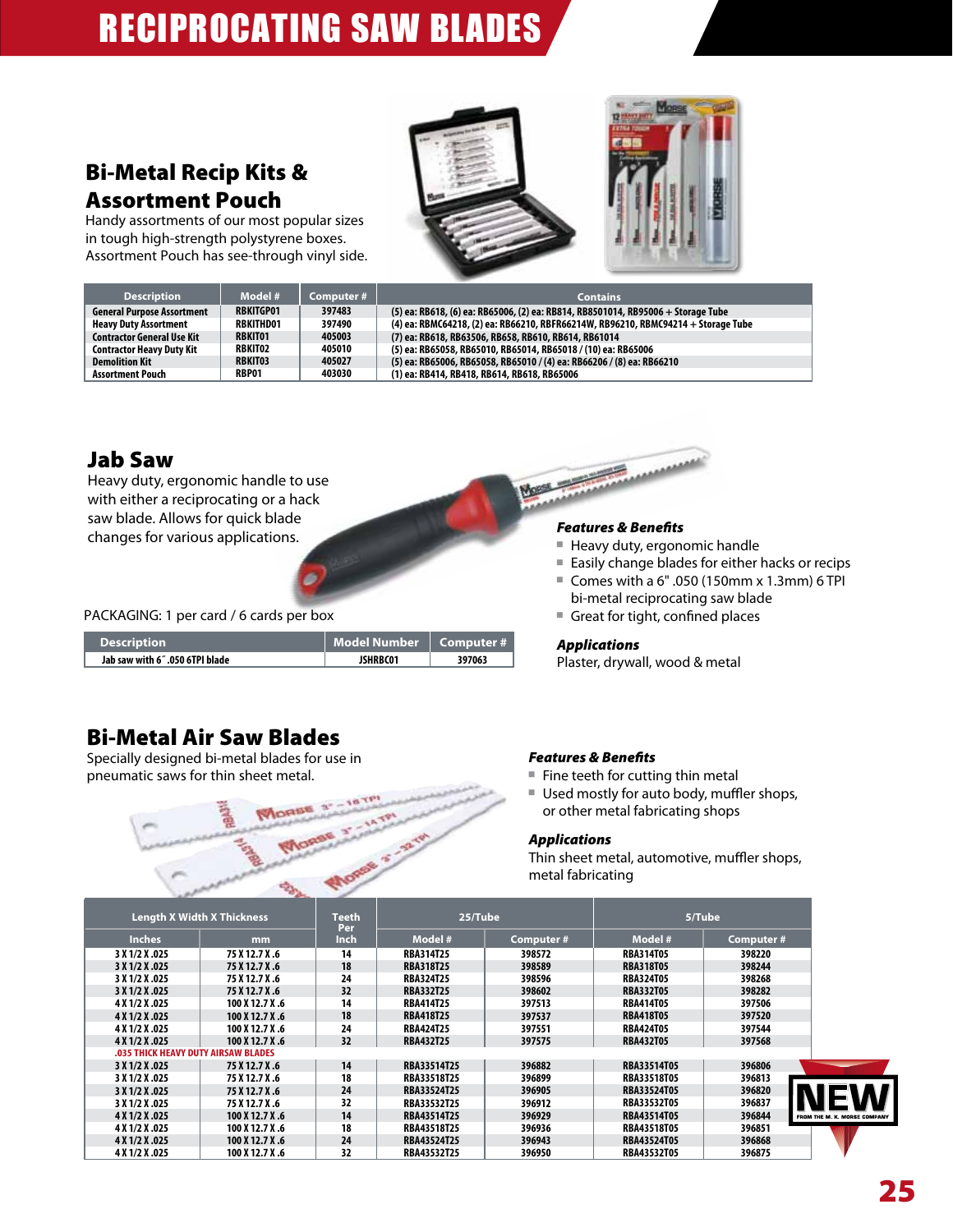## Bi-Metal Recip Kits & Assortment Pouch

Handy assortments of our most popular sizes in tough high-strength polystyrene boxes. Assortment Pouch has see-through vinyl side.





| <b>Description</b>                | Model #          | Computer # | <b>Contains</b>                                                                   |
|-----------------------------------|------------------|------------|-----------------------------------------------------------------------------------|
| <b>General Purpose Assortment</b> | <b>RBKITGP01</b> | 397483     | (5) ea: RB618, (6) ea: RB65006, (2) ea: RB814, RB8501014, RB95006 + Storage Tube  |
| <b>Heavy Duty Assortment</b>      | <b>RBKITHD01</b> | 397490     | (4) ea: RBMC64218, (2) ea: RB66210, RBFR66214W, RB96210, RBMC94214 + Storage Tube |
| <b>Contractor General Use Kit</b> | <b>RBKIT01</b>   | 405003     | (7) ea: RB618, RB63506, RB658, RB610, RB614, RB61014                              |
| <b>Contractor Heavy Duty Kit</b>  | <b>RBKIT02</b>   | 405010     | (5) ea: RB65058, RB65010, RB65014, RB65018 / (10) ea: RB65006                     |
| <b>Demolition Kit</b>             | <b>RBKIT03</b>   | 405027     | (5) ea: RB65006, RB65058, RB65010 / (4) ea: RB66206 / (8) ea: RB66210             |
| <b>Assortment Pouch</b>           | RBP01            | 403030     | (1) ea: RB414, RB418, RB614, RB618, RB65006                                       |

## Jab Saw

Heavy duty, ergonomic handle to use with either a reciprocating or a hack saw blade. Allows for quick blade changes for various applications.

PACKAGING: 1 per card / 6 cards per box

| <b>Description</b>             | Model Number   Computer # |        |
|--------------------------------|---------------------------|--------|
| Jab saw with 6".050 6TPI blade | <b>JSHRBC01</b>           | 397063 |

## Bi-Metal Air Saw Blades

Specially designed bi-metal blades for use in pneumatic saws for thin sheet metal.



### *Features & Benefits*

■ Heavy duty, ergonomic handle

*<u>ALLERSSON</u>* 

- Easily change blades for either hacks or recips
- Comes with a 6" .050 (150mm x 1.3mm) 6 TPI bi-metal reciprocating saw blade
- � Great for tight, confined places

### *Applications*

Plaster, drywall, wood & metal

### *Features & Benefits*

- $\blacksquare$  Fine teeth for cutting thin metal
- Used mostly for auto body, muffler shops, or other metal fabricating shops

## *Applications*

Thin sheet metal, automotive, muffler shops, metal fabricating

|                | <b>Length X Width X Thickness</b>          | Teeth<br>Per | 25/Tube            |           |                    | 5/Tube     |                             |
|----------------|--------------------------------------------|--------------|--------------------|-----------|--------------------|------------|-----------------------------|
| <b>Inches</b>  | <sub>mm</sub>                              | Inch         | Model #            | Computer# | Model #            | Computer # |                             |
| 3 X 1/2 X .025 | 75 X 12.7 X .6                             | 14           | <b>RBA314T25</b>   | 398572    | <b>RBA314T05</b>   | 398220     |                             |
| 3 X 1/2 X .025 | 75 X 12.7 X .6                             | 18           | <b>RBA318T25</b>   | 398589    | <b>RBA318T05</b>   | 398244     |                             |
| 3 X 1/2 X .025 | 75 X 12.7 X .6                             | 24           | <b>RBA324T25</b>   | 398596    | <b>RBA324T05</b>   | 398268     |                             |
| 3 X 1/2 X .025 | 75 X 12.7 X.6                              | 32           | <b>RBA332T25</b>   | 398602    | <b>RBA332T05</b>   | 398282     |                             |
| 4 X 1/2 X .025 | 100 X 12.7 X .6                            | 14           | <b>RBA414T25</b>   | 397513    | <b>RBA414T05</b>   | 397506     |                             |
| 4 X 1/2 X .025 | 100 X 12.7 X .6                            | 18           | <b>RBA418T25</b>   | 397537    | <b>RBA418T05</b>   | 397520     |                             |
| 4 X 1/2 X .025 | 100 X 12.7 X .6                            | 24           | <b>RBA424T25</b>   | 397551    | <b>RBA424T05</b>   | 397544     |                             |
| 4 X 1/2 X .025 | 100 X 12.7 X .6                            | 32           | <b>RBA432T25</b>   | 397575    | <b>RBA432T05</b>   | 397568     |                             |
|                | <b>.035 THICK HEAVY DUTY AIRSAW BLADES</b> |              |                    |           |                    |            |                             |
| 3 X 1/2 X .025 | 75 X 12.7 X.6                              | 14           | <b>RBA33514T25</b> | 396882    | <b>RBA33514T05</b> | 396806     |                             |
| 3 X 1/2 X .025 | 75 X 12.7 X.6                              | 18           | <b>RBA33518T25</b> | 396899    | <b>RBA33518T05</b> | 396813     |                             |
| 3 X 1/2 X .025 | 75 X 12.7 X .6                             | 24           | <b>RBA33524T25</b> | 396905    | <b>RBA33524T05</b> | 396820     |                             |
| 3 X 1/2 X .025 | 75 X 12.7 X.6                              | 32           | <b>RBA33532T25</b> | 396912    | <b>RBA33532T05</b> | 396837     |                             |
| 4 X 1/2 X .025 | 100 X 12.7 X .6                            | 14           | <b>RBA43514T25</b> | 396929    | <b>RBA43514T05</b> | 396844     | FROM THE M. K. MORSE COMPAN |
| 4 X 1/2 X .025 | 100 X 12.7 X .6                            | 18           | <b>RBA43518T25</b> | 396936    | <b>RBA43518T05</b> | 396851     |                             |
| 4 X 1/2 X .025 | 100 X 12.7 X .6                            | 24           | <b>RBA43524T25</b> | 396943    | <b>RBA43524T05</b> | 396868     |                             |
| 4 X 1/2 X .025 | 100 X 12.7 X .6                            | 32           | <b>RBA43532T25</b> | 396950    | <b>RBA43532T05</b> | 396875     |                             |